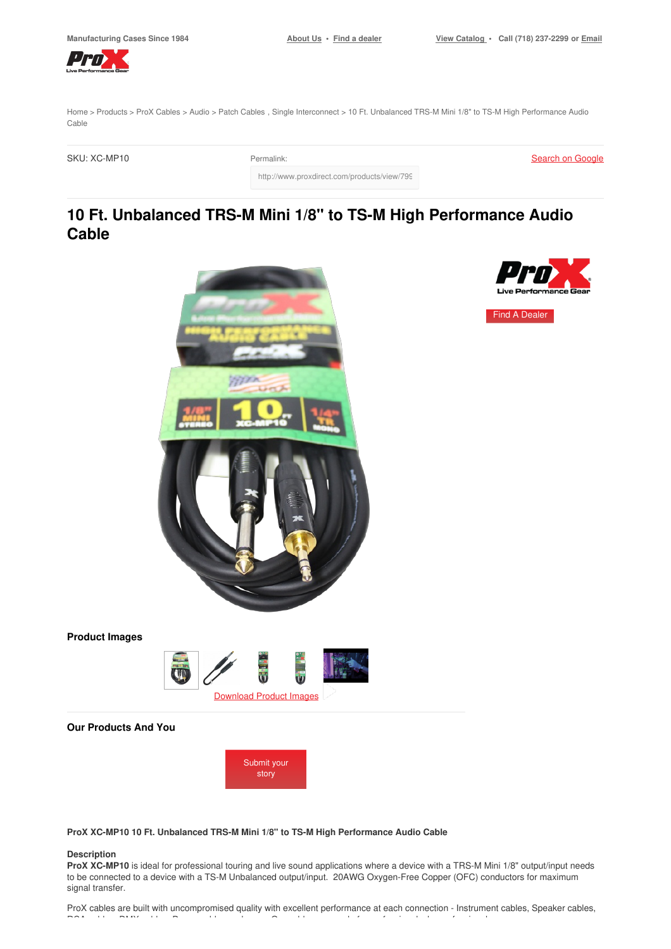Find A [Dealer](https://www.proxdirect.com/dealer/locator/)

<span id="page-0-0"></span>

[Home](https://www.proxdirect.com/) > [Products](https://www.proxdirect.com/products/) > ProX [Cables](https://www.proxdirect.com/products/browse/category/ProX-Cables) > [Audio](https://www.proxdirect.com/products/browse/category/Audio) > Patch [Cables](https://www.proxdirect.com/products/browse/category/Patch-Cables) , Single [Interconnect](https://www.proxdirect.com/products/browse/category/Single-Interconnect) > 10 Ft. Unbalanced TRS-M Mini 1/8" to TS-M High Performance Audio Cable

SKU: XC-MP10 Permalink:

Search on [Google](https://www.google.com/search?q=XC-MP10)

http://www.proxdirect.com/products/view/799

# **10 Ft. Unbalanced TRS-M Mini 1/8" to TS-M High Performance Audio Cable**



# **Product Images**



# **Our Products And You**



**ProX XC-MP10 10 Ft. Unbalanced TRS-M Mini 1/8" to TS-M High Performance Audio Cable**

#### **Description**

**ProX XC-MP10** is ideal for professional touring and live sound applications where a device with a TRS-M Mini 1/8" output/input needs to be connected to a device with a TS-M Unbalanced output/input. 20AWG Oxygen-Free Copper (OFC) conductors for maximum signal transfer.

ProX cables are built with uncompromised quality with excellent performance at each connection - Instrument cables, Speaker cables, RCA cables, DMX cables, Power cables and more. Our cables are made for professionals, by professionals.